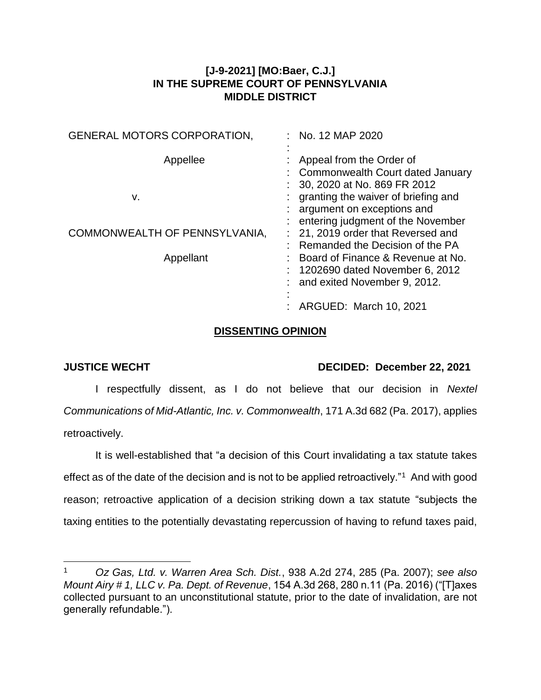## **[J-9-2021] [MO:Baer, C.J.] IN THE SUPREME COURT OF PENNSYLVANIA MIDDLE DISTRICT**

| <b>GENERAL MOTORS CORPORATION,</b> | $:$ No. 12 MAP 2020                                                                                      |
|------------------------------------|----------------------------------------------------------------------------------------------------------|
| Appellee                           | Appeal from the Order of<br>: Commonwealth Court dated January                                           |
| v.                                 | 30, 2020 at No. 869 FR 2012<br>granting the waiver of briefing and<br>argument on exceptions and         |
| COMMONWEALTH OF PENNSYLVANIA,      | entering judgment of the November<br>21, 2019 order that Reversed and<br>Remanded the Decision of the PA |
| Appellant                          | Board of Finance & Revenue at No.<br>1202690 dated November 6, 2012<br>and exited November 9, 2012.      |
|                                    | ARGUED: March 10, 2021                                                                                   |

## **DISSENTING OPINION**

 $\overline{a}$ 

## **JUSTICE WECHT DECIDED: December 22, 2021**

I respectfully dissent, as I do not believe that our decision in *Nextel Communications of Mid-Atlantic, Inc. v. Commonwealth*, 171 A.3d 682 (Pa. 2017), applies retroactively.

It is well-established that "a decision of this Court invalidating a tax statute takes effect as of the date of the decision and is not to be applied retroactively."<sup>1</sup> And with good reason; retroactive application of a decision striking down a tax statute "subjects the taxing entities to the potentially devastating repercussion of having to refund taxes paid,

<sup>1</sup> *Oz Gas, Ltd. v. Warren Area Sch. Dist.*, 938 A.2d 274, 285 (Pa. 2007); *see also Mount Airy # 1, LLC v. Pa. Dept. of Revenue*, 154 A.3d 268, 280 n.11 (Pa. 2016) ("[T]axes collected pursuant to an unconstitutional statute, prior to the date of invalidation, are not generally refundable.").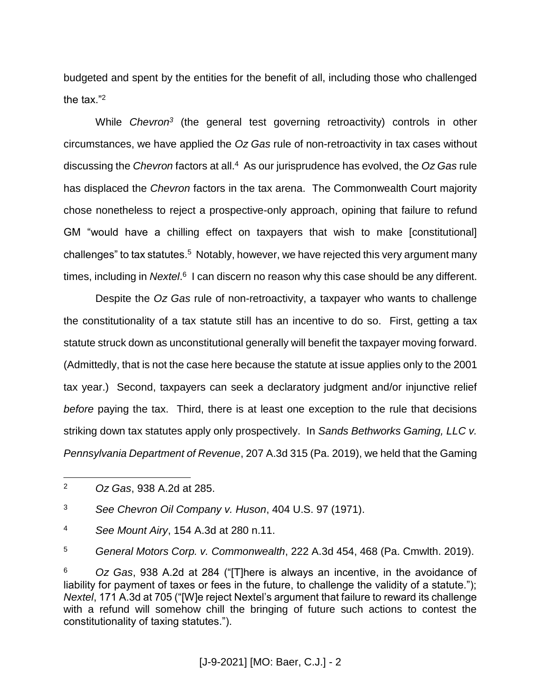budgeted and spent by the entities for the benefit of all, including those who challenged the tax."<sup>2</sup>

While *Chevron<sup>3</sup>* (the general test governing retroactivity) controls in other circumstances, we have applied the *Oz Gas* rule of non-retroactivity in tax cases without discussing the *Chevron* factors at all.<sup>4</sup> As our jurisprudence has evolved, the *Oz Gas* rule has displaced the *Chevron* factors in the tax arena. The Commonwealth Court majority chose nonetheless to reject a prospective-only approach, opining that failure to refund GM "would have a chilling effect on taxpayers that wish to make [constitutional] challenges" to tax statutes.<sup>5</sup> Notably, however, we have rejected this very argument many times, including in *Nextel*.<sup>6</sup> I can discern no reason why this case should be any different.

Despite the *Oz Gas* rule of non-retroactivity, a taxpayer who wants to challenge the constitutionality of a tax statute still has an incentive to do so. First, getting a tax statute struck down as unconstitutional generally will benefit the taxpayer moving forward. (Admittedly, that is not the case here because the statute at issue applies only to the 2001 tax year.) Second, taxpayers can seek a declaratory judgment and/or injunctive relief *before* paying the tax. Third, there is at least one exception to the rule that decisions striking down tax statutes apply only prospectively. In *Sands Bethworks Gaming, LLC v. Pennsylvania Department of Revenue*, 207 A.3d 315 (Pa. 2019), we held that the Gaming

<sup>3</sup> *See Chevron Oil Company v. Huson*, 404 U.S. 97 (1971).

<sup>4</sup> *See Mount Airy*, 154 A.3d at 280 n.11.

<sup>5</sup> *General Motors Corp. v. Commonwealth*, 222 A.3d 454, 468 (Pa. Cmwlth. 2019).

<sup>6</sup> *Oz Gas*, 938 A.2d at 284 ("[T]here is always an incentive, in the avoidance of liability for payment of taxes or fees in the future, to challenge the validity of a statute."): *Nextel*, 171 A.3d at 705 ("[W]e reject Nextel's argument that failure to reward its challenge with a refund will somehow chill the bringing of future such actions to contest the constitutionality of taxing statutes.").

 $\overline{2}$ <sup>2</sup> *Oz Gas*, 938 A.2d at 285.